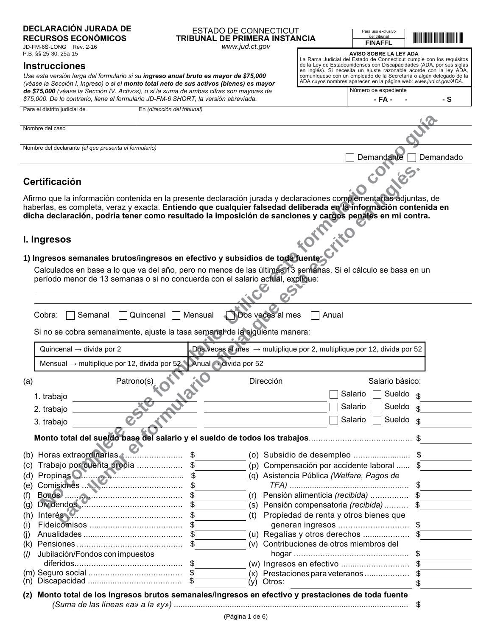# **DECLARACIÓN JURADA DE**

**RECURSOS ECONÓMICOS** JD-FM-6S-LONG Rev. 2-16 P.B. §§ 25-30, 25a-15

#### **Instrucciones**

Use esta versión larga del formulario si su ingreso anual bruto es mayor de \$75,000 (véase la Sección I, Ingreso) o si el monto total neto de sus activos (bienes) es mayor de \$75,000 (véase la Sección IV. Activos), o si la suma de ambas cifras son mayores de \$75.000. De lo contrario. Ilene el formulario JD-FM-6 SHORT, la versión abreviada.

| \$75,000. De lo contrario, llene el formulario JD-FM-6 SHORT, la versión abreviada. | - FA -                      | - 5 |  |
|-------------------------------------------------------------------------------------|-----------------------------|-----|--|
| Para el distrito judicial de                                                        | En (dirección del tribunal) |     |  |
|                                                                                     |                             |     |  |
| Nombre del caso                                                                     |                             |     |  |
| Nombre del declarante (el que presenta el formulario)                               |                             |     |  |

www.jud.ct.gov

Certificación

#### Afirmo que la información contenida en la presente declaración jurada y declaraciones complementarias adjuntas, de haberlas, es completa, veraz y exacta. Entiendo que cualquier falsedad deliberada en la información contenida en dicha declaración, podría tener como resultado la imposición de sanciones y cargos penales en mi contra.

# FOTFE

1) Ingresos semanales brutos/ingresos en efectivo y subsidios de toda Juentes<br>Calculados en base a lo que va del año, pero no menos de las últimos de toda Juentes<br>período menor de 13 semanais a ci Calculados en base a lo que va del año, pero no menos de las últimas 13 semanas. Si el cálculo se basa en un  $\overline{\mathbf{C}}$ 

|                                                                                                                                                                                                                                       |                                                                                           | Si no se cobra semanalmente, ajuste la tasa semanal de la siguiente manera:         |                                                                           |    |
|---------------------------------------------------------------------------------------------------------------------------------------------------------------------------------------------------------------------------------------|-------------------------------------------------------------------------------------------|-------------------------------------------------------------------------------------|---------------------------------------------------------------------------|----|
| Quincenal $\rightarrow$ divida por 2                                                                                                                                                                                                  |                                                                                           | Dos veces al mes $\rightarrow$ multiplique por 2, multiplique por 12, divida por 52 |                                                                           |    |
|                                                                                                                                                                                                                                       | Mensual $\rightarrow$ multiplique por 12, divida por 52 Anual $\rightarrow$ divida por 52 |                                                                                     |                                                                           |    |
| (a)                                                                                                                                                                                                                                   | Hailo<br>Patrono(s)                                                                       | Dirección                                                                           | Salario básico:                                                           |    |
| 1. trabajo                                                                                                                                                                                                                            |                                                                                           |                                                                                     | Sueldo $\frac{1}{3}$<br>Salario                                           |    |
| 2. trabajo                                                                                                                                                                                                                            | River                                                                                     |                                                                                     | Salario<br>Sueldo <sub>\$</sub>                                           |    |
| 3. trabajo                                                                                                                                                                                                                            |                                                                                           |                                                                                     | Sueldo<br>Salario                                                         | \$ |
|                                                                                                                                                                                                                                       |                                                                                           |                                                                                     |                                                                           |    |
| Trabajo por cuenta propia  \$<br>(c)                                                                                                                                                                                                  |                                                                                           |                                                                                     | (o) Subsidio de desempleo \$<br>(p) Compensación por accidente laboral    |    |
| Propinas <b>O</b> 2009 Manuel Manuel S <sub>2</sub><br>(d)                                                                                                                                                                            |                                                                                           |                                                                                     | (q) Asistencia Pública (Welfare, Pagos de                                 |    |
| Comisiones N. M. Marian Strange Strange Strange Strange Strange Strange Strange Strange Strange Strange Strange Strange Strange Strange Strange Strange Strange Strange Strange Strange Strange Strange Strange Strange Strang<br>(e) |                                                                                           |                                                                                     |                                                                           |    |
| (f)                                                                                                                                                                                                                                   |                                                                                           |                                                                                     | (r) Pensión alimenticia (recibida)                                        |    |
| (g)                                                                                                                                                                                                                                   |                                                                                           |                                                                                     | (s) Pensión compensatoria (recibida)                                      | S  |
| Interés<br>(h)                                                                                                                                                                                                                        |                                                                                           | (t)                                                                                 | Propiedad de renta y otros bienes que                                     |    |
| (i)                                                                                                                                                                                                                                   |                                                                                           |                                                                                     | generan ingresos                                                          | \$ |
| (i)<br>(k)                                                                                                                                                                                                                            |                                                                                           |                                                                                     | (u) Regalías y otros derechos<br>(v) Contribuciones de otros miembros del |    |
| Jubilación/Fondos con impuestos<br>(1)                                                                                                                                                                                                |                                                                                           |                                                                                     |                                                                           |    |
|                                                                                                                                                                                                                                       |                                                                                           |                                                                                     |                                                                           |    |
|                                                                                                                                                                                                                                       |                                                                                           |                                                                                     | $(x)$ Prestaciones para veteranos                                         |    |
|                                                                                                                                                                                                                                       |                                                                                           | Otros:<br>(y)                                                                       |                                                                           |    |

| ara uso exclusivo<br>del tribunal | <b>The Community</b> |
|-----------------------------------|----------------------|
| <b>FINAFFL</b>                    |                      |

Para

AVISO SOBRE LA LEY ADA La Rama Judicial del Estado de Connecticut cumple con los requisitos de la Ley de Estadounidenses con Discapacidades (ADA, por sus siglas en inglés). Si necesita un ajuste razonable acorde con la ley ADA,

comuníquese con un empleado de la Secretaría o algún delegado de la ADA cuyos nombres aparecen en la página web: www.jud.ct.gov/ADA.

Número de expediente

Demandante Demandado

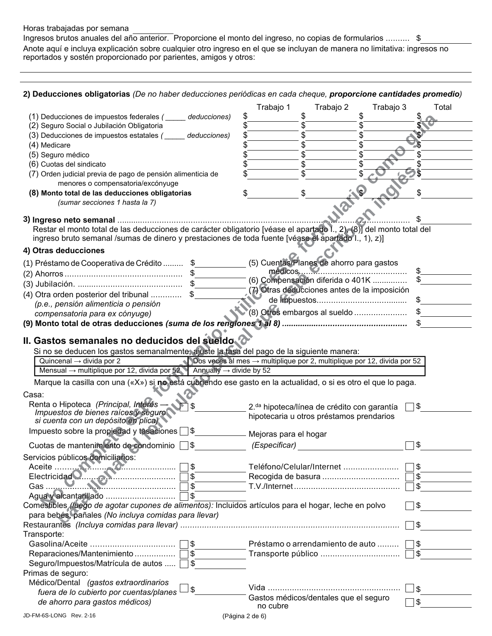#### Horas trabajadas por semana

Ingresos brutos anuales del año anterior. Proporcione el monto del ingreso, no copias de formularios .......... \$ Anote aquí e incluya explicación sobre cualquier otro ingreso en el que se incluyan de manera no limitativa: ingresos no reportados y sostén proporcionado por parientes, amigos y otros:

### 2) Deducciones obligatorias (De no haber deducciones periódicas en cada cheque, proporcione cantidades promedio)

|                                                                                                                      |            | Trabajo 1                                                                           | Trabajo 2                                    | Trabajo 3                                               | Total        |
|----------------------------------------------------------------------------------------------------------------------|------------|-------------------------------------------------------------------------------------|----------------------------------------------|---------------------------------------------------------|--------------|
| (1) Deducciones de impuestos federales (_____ deducciones)                                                           |            | \$                                                                                  | \$                                           |                                                         |              |
| (2) Seguro Social o Jubilación Obligatoria                                                                           |            |                                                                                     | \$                                           |                                                         |              |
| (3) Deducciones de impuestos estatales (_____ deducciones)                                                           |            |                                                                                     | \$                                           |                                                         |              |
| (4) Medicare                                                                                                         |            |                                                                                     | \$<br>\$                                     |                                                         |              |
| (5) Seguro médico                                                                                                    |            |                                                                                     | \$                                           |                                                         |              |
| (6) Cuotas del sindicato                                                                                             |            |                                                                                     | \$                                           |                                                         |              |
| (7) Orden judicial previa de pago de pensión alimenticia de<br>menores o compensatoria/excónyuge                     |            |                                                                                     |                                              |                                                         |              |
| (8) Monto total de las deducciones obligatorias                                                                      |            | \$                                                                                  |                                              |                                                         | \$           |
| (sumar secciones 1 hasta la 7)                                                                                       |            |                                                                                     |                                              |                                                         |              |
|                                                                                                                      |            |                                                                                     |                                              |                                                         |              |
| Restar el monto total de las deducciones de carácter obligatorio [véase el apartado I., 2), (8)] del monto total del |            |                                                                                     |                                              |                                                         |              |
| ingreso bruto semanal /sumas de dinero y prestaciones de toda fuente [véase el apartado I., 1), z)]                  |            |                                                                                     |                                              |                                                         |              |
| 4) Otras deducciones                                                                                                 |            |                                                                                     |                                              |                                                         |              |
|                                                                                                                      |            |                                                                                     | (5) Cuentas/Planes de ahorro para gastos     |                                                         |              |
| (1) Préstamo de Cooperativa de Crédito  \$                                                                           |            |                                                                                     | $medicos.$ $\blacksquare$                    |                                                         | \$           |
|                                                                                                                      |            |                                                                                     | (6) Compensación diferida o 401K             |                                                         |              |
|                                                                                                                      |            |                                                                                     | (7) Otras deducciones antes de la imposición |                                                         |              |
| (4) Otra orden posterior del tribunal  \$                                                                            |            |                                                                                     |                                              |                                                         | \$           |
| (p.e., pensión alimenticia o pensión                                                                                 |            |                                                                                     | (8) Otros embargos al sueldo                 |                                                         |              |
| compensatoria para ex cónyuge)                                                                                       |            |                                                                                     |                                              |                                                         |              |
|                                                                                                                      |            |                                                                                     |                                              |                                                         |              |
| II. Gastos semanales no deducidos del sueldo                                                                         |            |                                                                                     |                                              |                                                         |              |
| Si no se deducen los gastos semanalmente, ajuste la tasa del pago de la siguiente manera:                            |            |                                                                                     |                                              |                                                         |              |
| Quincenal $\rightarrow$ divida por 2                                                                                 |            | Dos veces al mes $\rightarrow$ multiplique por 2, multiplique por 12, divida por 52 |                                              |                                                         |              |
| Mensual $\rightarrow$ multiplique por 12, divida por 52 Annually $\rightarrow$ divide by 52                          |            |                                                                                     |                                              |                                                         |              |
| Marque la casilla con una («X») si no está cubriendo ese gasto en la actualidad, o si es otro el que lo paga.        |            |                                                                                     |                                              |                                                         |              |
|                                                                                                                      |            |                                                                                     |                                              |                                                         |              |
| Casa:                                                                                                                |            |                                                                                     |                                              |                                                         |              |
| Renta o Hipoteca (Principal, Interes -<br>Impuestos de bienes raíces y seguro                                        | \$         |                                                                                     |                                              |                                                         |              |
|                                                                                                                      |            |                                                                                     |                                              | 2. <sup>da</sup> hipoteca/línea de crédito con garantía | ヿ\$          |
|                                                                                                                      |            |                                                                                     | hipotecaria u otros préstamos prendarios     |                                                         |              |
| si cuenta con un depósito en plica)                                                                                  |            |                                                                                     |                                              |                                                         |              |
| Impuesto sobre la propiedad y tasadiones S                                                                           |            | Mejoras para el hogar                                                               |                                              |                                                         |              |
| Cuotas de mantenimiento de condominio                                                                                | ∃\$        | (Especificar)                                                                       |                                              |                                                         | \$           |
| Servicios públicos domiciliarios:                                                                                    |            |                                                                                     |                                              |                                                         |              |
|                                                                                                                      | \$         |                                                                                     | Teléfono/Celular/Internet                    |                                                         | \$           |
|                                                                                                                      | \$         |                                                                                     |                                              |                                                         | \$           |
|                                                                                                                      | $\sqrt{3}$ |                                                                                     |                                              |                                                         | \$           |
|                                                                                                                      | \$         |                                                                                     |                                              |                                                         |              |
| Comestibles (luego de agotar cupones de alimentos): Incluidos artículos para el hogar, leche en polvo                |            |                                                                                     |                                              |                                                         | \$           |
| para bebés, pañales (No incluya comidas para llevar)                                                                 |            |                                                                                     |                                              |                                                         |              |
|                                                                                                                      |            |                                                                                     |                                              |                                                         | \$           |
| Transporte:                                                                                                          |            |                                                                                     |                                              |                                                         |              |
|                                                                                                                      | \$         |                                                                                     | Préstamo o arrendamiento de auto             |                                                         | \$           |
|                                                                                                                      |            |                                                                                     |                                              |                                                         | $\sqrt[6]{}$ |
| Seguro/Impuestos/Matrícula de autos  □                                                                               | <b>\$</b>  |                                                                                     |                                              |                                                         |              |
| Primas de seguro:                                                                                                    |            |                                                                                     |                                              |                                                         |              |
| Médico/Dental (gastos extraordinarios                                                                                |            |                                                                                     |                                              |                                                         | _  \$        |
| fuera de lo cubierto por cuentas/planes                                                                              | 5          |                                                                                     | Gastos médicos/dentales que el seguro        |                                                         |              |
| de ahorro para gastos médicos)                                                                                       |            | no cubre                                                                            |                                              |                                                         | \$           |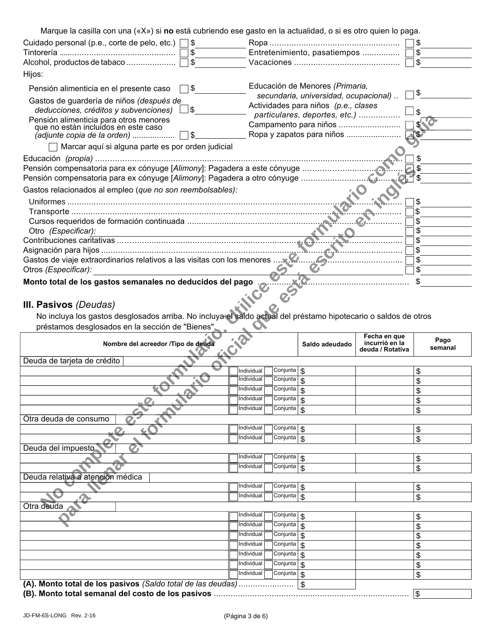| Marque la casilla con una («X») si no está cubriendo ese gasto en la actualidad, o si es otro quien lo paga. |                                                                                 |
|--------------------------------------------------------------------------------------------------------------|---------------------------------------------------------------------------------|
| Cuidado personal (p.e., corte de pelo, etc.) $\Box$ \$                                                       |                                                                                 |
|                                                                                                              | Entretenimiento, pasatiempos  5                                                 |
| Alcohol, productos de tabaco  □ \$                                                                           | Vacaciones $\ldots$ $\ldots$ $\ldots$ $\ldots$ $\ldots$ $\ldots$ $\ldots$<br>\$ |
| Hijos:                                                                                                       |                                                                                 |
| ่ ๅ\$<br>Pensión alimenticia en el presente caso                                                             | Educación de Menores (Primaria,<br>\$                                           |
| Gastos de guardería de niños (después de<br>_ \$<br>deducciones, créditos y subvenciones)                    | secundaria, universidad, ocupacional)<br>Actividades para niños (p.e., clases   |
|                                                                                                              | ∣\$<br>particulares, deportes, etc.)                                            |
| Pensión alimenticia para otros menores<br>que no están incluidos en este caso                                |                                                                                 |
|                                                                                                              |                                                                                 |
| Marcar aquí si alguna parte es por orden judicial                                                            |                                                                                 |
|                                                                                                              |                                                                                 |
|                                                                                                              |                                                                                 |
| Pensión compensatoria para ex cónyuge [Alimony]: Pagadera a otro cónyuge                                     |                                                                                 |
| Gastos relacionados al empleo (que no son reembolsables):                                                    |                                                                                 |
|                                                                                                              |                                                                                 |
|                                                                                                              | \$.                                                                             |
|                                                                                                              |                                                                                 |
| Otro (Especificar):                                                                                          |                                                                                 |
|                                                                                                              |                                                                                 |
|                                                                                                              | \$                                                                              |
|                                                                                                              | \$                                                                              |
| Otros (Especificar):                                                                                         | \$                                                                              |
| Monto total de los gastos semanales no deducidos del pago                                                    | S                                                                               |
|                                                                                                              |                                                                                 |
| $\mathbf{H}$ Desives (Develop)                                                                               |                                                                                 |

# III. Pasivos (Deudas)

No incluya los gastos desglosados arriba. No incluya el saldo actual del préstamo hipotecario o saldos de otros<br>préstamos desglosados en la sección de "Bienes".

| Nombre del acreedor /Tipo de deuda                          | sicial                                                   | Saldo adeudado            | Fecha en que<br>incurrió en la<br>deuda / Rotativa | Pago<br>semanal |
|-------------------------------------------------------------|----------------------------------------------------------|---------------------------|----------------------------------------------------|-----------------|
| Deuda de tarjeta de crédito                                 |                                                          |                           |                                                    |                 |
|                                                             | Conjunta<br>Individual                                   | \$                        |                                                    | \$              |
|                                                             | Individual<br>Conjunta                                   | \$                        |                                                    | \$              |
|                                                             | Individual<br>Conjunta                                   | \$                        |                                                    | \$              |
|                                                             | Individual<br>Conjunta                                   | \$                        |                                                    | \$              |
|                                                             | Individual<br>Conjunta                                   | \$                        |                                                    | \$              |
| Otra deuda de consumo<br>$\boldsymbol{C}$                   |                                                          |                           |                                                    |                 |
|                                                             | Individual<br>$\overline{\text{Conjunta}}$   $\text{\$}$ |                           |                                                    | $\frac{1}{2}$   |
|                                                             | Conjunta<br>Individual                                   | \$                        |                                                    | \$              |
| Deuda del impuesto                                          |                                                          |                           |                                                    |                 |
|                                                             | Individual<br>Conjunta                                   | $\mathbb{S}$              |                                                    | \$              |
|                                                             | Conjunta<br>Individual                                   | \$                        |                                                    | \$              |
| Deuda relativa a atención médica                            |                                                          |                           |                                                    |                 |
|                                                             | Individual<br>Conjunta                                   | \$                        |                                                    | \$              |
|                                                             | Conjunta<br>Individual                                   | \$                        |                                                    | \$              |
| Otra deuda                                                  |                                                          |                           |                                                    |                 |
|                                                             | Individual<br>Conjunta                                   | $\boldsymbol{\mathsf{S}}$ |                                                    | \$              |
|                                                             | Individual<br>Conjunta                                   | \$                        |                                                    | \$              |
|                                                             | Individual<br>Conjunta                                   | \$                        |                                                    | \$              |
|                                                             | Conjunta<br>Individual                                   | \$                        |                                                    | \$              |
|                                                             | Conjunta<br>Individual                                   | \$                        |                                                    | \$              |
|                                                             | Individual<br>Conjunta                                   | \$                        |                                                    | \$              |
|                                                             | Individual<br>Conjunta                                   | \$                        |                                                    | \$              |
| (A). Monto total de los pasivos (Saldo total de las deudas) |                                                          | \$                        |                                                    |                 |
|                                                             |                                                          |                           |                                                    | \$              |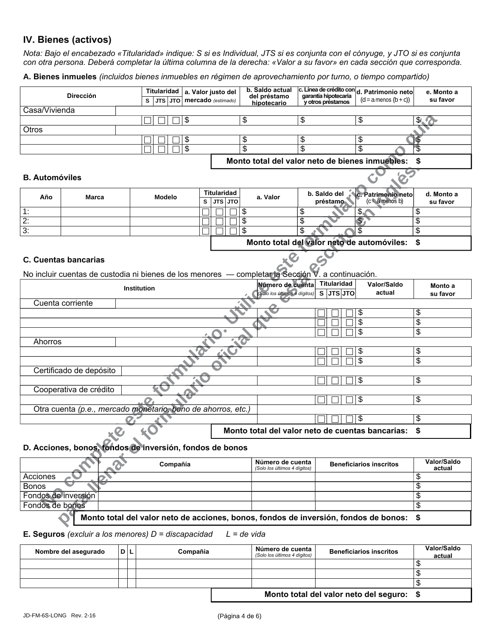# IV. Bienes (activos)

Nota: Bajo el encabezado «Titularidad» indique: S si es Individual, JTS si es conjunta con el cónyuge, y JTO si es conjunta con otra persona. Deberá completar la última columna de la derecha: «Valor a su favor» en cada sección que corresponda.

A. Bienes inmueles (incluidos bienes inmuebles en régimen de aprovechamiento por turno, o tiempo compartido)

|                                                                               | <b>Dirección</b>            |     | <b>Titularidad</b><br>JTS JTO<br>s                                                   |   | a. Valor justo del<br>mercado (estimado) |                 | b. Saldo actual<br>del préstamo<br>hipotecario   | garantía hipotecaria<br>y otros préstamos | c. Línea de crédito con d. Patrimonio neto<br>$(d = a$ menos $(b + c))$ | e. Monto a<br>su favor |
|-------------------------------------------------------------------------------|-----------------------------|-----|--------------------------------------------------------------------------------------|---|------------------------------------------|-----------------|--------------------------------------------------|-------------------------------------------|-------------------------------------------------------------------------|------------------------|
| Casa/Vivienda                                                                 |                             |     |                                                                                      |   |                                          |                 |                                                  |                                           |                                                                         |                        |
|                                                                               |                             |     | \$                                                                                   |   |                                          | \$              | $\overline{\mathcal{E}}$                         |                                           | $\overline{\$}$                                                         | \$!                    |
| Otros                                                                         |                             |     |                                                                                      |   |                                          |                 |                                                  |                                           |                                                                         |                        |
|                                                                               |                             |     | \$                                                                                   |   |                                          | \$              | \$                                               |                                           | \$                                                                      |                        |
|                                                                               |                             |     | $\overline{\mathcal{S}}$                                                             |   |                                          | $\overline{\$}$ | \$                                               |                                           | \$                                                                      | \$                     |
|                                                                               |                             |     |                                                                                      |   |                                          |                 |                                                  |                                           | Monto total del valor neto de bienes inmuebles:                         | \$                     |
| <b>B.</b> Automóviles                                                         |                             |     |                                                                                      |   |                                          |                 |                                                  |                                           |                                                                         |                        |
| Año                                                                           | Marca                       |     | <b>Modelo</b>                                                                        | s | <b>Titularidad</b><br>JTS JTO            | a. Valor        |                                                  | b. Saldo del<br>préstamo                  | c. Patrimonio neto<br>$(c = a$ menos b)                                 | d. Monto a<br>su favor |
| 1:                                                                            |                             |     |                                                                                      |   |                                          | \$              | \$                                               |                                           | \$.                                                                     | \$                     |
| $\overline{2}$ :                                                              |                             |     |                                                                                      |   |                                          | $\overline{\$}$ | $\overline{\mathcal{S}}$                         |                                           |                                                                         | \$                     |
| $\overline{3}$ :                                                              |                             |     |                                                                                      |   |                                          | $\overline{\$}$ | $\overline{\mathcal{S}}$                         |                                           | \$                                                                      | $\overline{\$}$        |
|                                                                               |                             |     |                                                                                      |   |                                          |                 |                                                  |                                           | Monto total del valor neto de automóviles:                              | \$                     |
|                                                                               | <b>C. Cuentas bancarias</b> |     |                                                                                      |   |                                          |                 |                                                  |                                           |                                                                         |                        |
|                                                                               |                             |     | No incluir cuentas de custodia ni bienes de los menores - completar la Sección V     |   |                                          |                 |                                                  | a continuación.                           |                                                                         |                        |
|                                                                               |                             |     | Institution                                                                          |   |                                          |                 | Número de cuenta<br>(Solo los últimos 4 dígitos) | <b>Titularidad</b><br>$S$ JTS JTO         | Valor/Saldo<br>actual                                                   | Monto a<br>su favor    |
|                                                                               | Cuenta corriente            |     |                                                                                      |   |                                          |                 |                                                  |                                           |                                                                         |                        |
|                                                                               |                             |     |                                                                                      |   |                                          |                 |                                                  |                                           | \$                                                                      | \$                     |
|                                                                               |                             |     |                                                                                      |   |                                          |                 |                                                  |                                           | $\overline{\$}$                                                         | \$                     |
|                                                                               |                             |     |                                                                                      |   |                                          |                 |                                                  |                                           | \$                                                                      | \$                     |
| Ahorros                                                                       |                             |     |                                                                                      |   |                                          |                 |                                                  |                                           |                                                                         |                        |
|                                                                               |                             |     |                                                                                      |   |                                          |                 |                                                  |                                           | \$                                                                      | \$                     |
|                                                                               |                             |     |                                                                                      |   |                                          |                 |                                                  |                                           | $\overline{\$}$                                                         | \$                     |
|                                                                               | Certificado de depósito     |     |                                                                                      |   |                                          |                 |                                                  |                                           |                                                                         | $\overline{\$}$        |
|                                                                               |                             |     |                                                                                      |   |                                          |                 |                                                  |                                           | $\overline{\$}$                                                         |                        |
|                                                                               | Cooperativa de crédito      |     |                                                                                      |   |                                          |                 |                                                  |                                           | \$                                                                      | $\overline{\$}$        |
|                                                                               |                             |     | Otra cuenta (p.e., mercado monetario, bono de ahorros, etc.)                         |   |                                          |                 |                                                  |                                           |                                                                         |                        |
|                                                                               |                             |     |                                                                                      |   |                                          |                 |                                                  |                                           | \$                                                                      | $\overline{\$}$        |
|                                                                               |                             |     |                                                                                      |   |                                          |                 |                                                  |                                           |                                                                         |                        |
|                                                                               | $\bullet$                   |     |                                                                                      |   |                                          |                 |                                                  |                                           | Monto total del valor neto de cuentas bancarias:                        | \$                     |
|                                                                               |                             |     | D. Acciones, bonos, fondos de inversión, fondos de bonos                             |   |                                          |                 |                                                  |                                           |                                                                         |                        |
|                                                                               |                             |     | Compañía                                                                             |   |                                          |                 | Número de cuenta<br>(Solo los últimos 4 dígitos) |                                           | <b>Beneficiarios inscritos</b>                                          | Valor/Saldo<br>actual  |
| Acciones                                                                      |                             |     |                                                                                      |   |                                          |                 |                                                  |                                           |                                                                         | \$                     |
| <b>Bonos</b>                                                                  |                             |     |                                                                                      |   |                                          |                 |                                                  |                                           |                                                                         | \$                     |
| Fondos de inversión                                                           |                             |     |                                                                                      |   |                                          |                 |                                                  |                                           |                                                                         | \$                     |
| Fondos de bonos                                                               |                             |     |                                                                                      |   |                                          |                 |                                                  |                                           |                                                                         | \$                     |
|                                                                               |                             |     | Monto total del valor neto de acciones, bonos, fondos de inversión, fondos de bonos: |   |                                          |                 |                                                  |                                           |                                                                         | \$                     |
| $L = de$ vida<br><b>E. Seguros</b> (excluir a los menores) $D =$ discapacidad |                             |     |                                                                                      |   |                                          |                 |                                                  |                                           |                                                                         |                        |
|                                                                               | Nombre del asegurado        | D L | Compañía                                                                             |   |                                          |                 | Número de cuenta<br>(Solo los últimos 4 dígitos) |                                           | <b>Beneficiarios inscritos</b>                                          | Valor/Saldo<br>actual  |
|                                                                               |                             |     |                                                                                      |   |                                          |                 |                                                  |                                           |                                                                         | $\overline{\$}$        |
|                                                                               |                             |     |                                                                                      |   |                                          |                 |                                                  |                                           |                                                                         | \$                     |
|                                                                               |                             |     |                                                                                      |   |                                          |                 |                                                  |                                           |                                                                         | $\overline{\$}$        |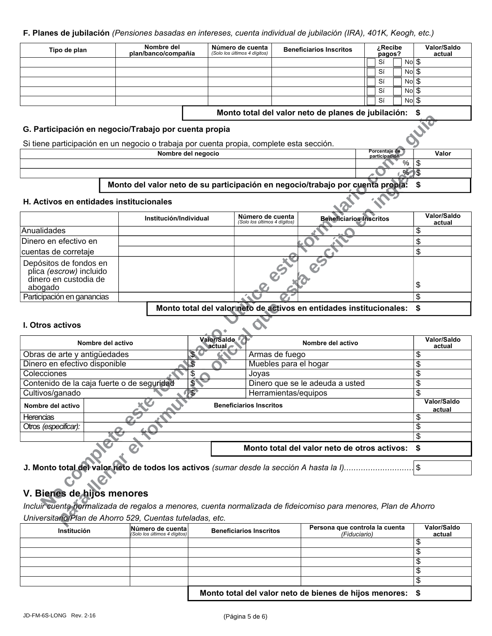#### F. Planes de jubilación (Pensiones basadas en intereses, cuenta individual de jubilación (IRA), 401K, Keogh, etc.)

| Tipo de plan | Nombre del<br>plan/banco/compañía | Número de cuenta<br>(Solo los últimos 4 dígitos) | <b>Beneficiarios Inscritos</b> | Recibeع ن<br>pagos? | Valor/Saldo<br>actual |
|--------------|-----------------------------------|--------------------------------------------------|--------------------------------|---------------------|-----------------------|
|              |                                   |                                                  |                                | No \$<br>Sí         |                       |
|              |                                   |                                                  |                                | Nol \$<br>Sí        |                       |
|              |                                   |                                                  |                                | Nol \$<br>Sí        |                       |
|              |                                   |                                                  |                                | $Nol$ $$$<br>Sí     |                       |
|              |                                   |                                                  |                                | $Nol$ \$<br>Sí      |                       |
|              |                                   |                                                  |                                |                     |                       |

Monto total del valor neto de planes de jubilación: \$

 $\overline{\$}$  $\%$ Ŝ

 $$$ 

!\$

Valor

Porcentaie de

participa

#### G. Participación en negocio/Trabajo por cuenta propia

Si tiene participación en un negocio o trabaja por cuenta propia, complete esta sección.

Nombre del negocio

## Monto del valor neto de su participación en negocio/trabajo por cuenta propia:

#### H. Activos en entidades institucionales

|                                                                                       | Institución/Individual | Número de cuenta<br>(Solo los últimos 4 dígitos) | <b>Beneficiarios Inscritos</b> | Valor/Saldo<br>actual |
|---------------------------------------------------------------------------------------|------------------------|--------------------------------------------------|--------------------------------|-----------------------|
| Anualidades                                                                           |                        |                                                  |                                |                       |
| Dinero en efectivo en                                                                 |                        |                                                  |                                |                       |
| cuentas de corretaje                                                                  |                        |                                                  |                                |                       |
| Depósitos de fondos en<br>plica (escrow) incluido<br>dinero en custodia de<br>abogado |                        |                                                  |                                | \$                    |
| Participación en ganancias                                                            |                        |                                                  |                                |                       |

Monto total del valor neto de activos en entidades institucionales: \$

#### **L** Otros activos

| Nombre del activo                          | Valor/Saldo.<br>\ačtual <i>⊷</i> | Nombre del activo                               | Valor/Saldo<br>actual |
|--------------------------------------------|----------------------------------|-------------------------------------------------|-----------------------|
| Obras de arte y antigüedades               |                                  | Armas de fuego                                  |                       |
| Dinero en efectivo disponible              | Æ                                | Muebles para el hogar                           |                       |
| Colecciones                                |                                  | Joyas                                           |                       |
| Contenido de la caja fuerte o de seguridad |                                  | Dinero que se le adeuda a usted                 | \$                    |
| Cultivos/ganado                            |                                  | Herramientas/equipos                            |                       |
| Nombre del activo                          |                                  | <b>Beneficiarios Inscritos</b>                  | Valor/Saldo<br>actual |
| <b>Herencias</b>                           |                                  |                                                 |                       |
| Otros (especificar):                       |                                  |                                                 |                       |
|                                            |                                  |                                                 |                       |
|                                            |                                  | Monto total del valor neto de otros activos: \$ |                       |

## V. Bienes de hijos menores

 $\mathcal O$ 

Incluir cuenta normalizada de regalos a menores, cuenta normalizada de fideicomiso para menores, Plan de Ahorro Universitario/Plan de Ahorro 529, Cuentas tuteladas, etc.

| <b>Institución</b> | Número de cuental<br>(Solo los últimos 4 dígitos) | <b>Beneficiarios Inscritos</b>                            | Persona que controla la cuenta<br>(Fiduciario) | Valor/Saldo<br>actual |
|--------------------|---------------------------------------------------|-----------------------------------------------------------|------------------------------------------------|-----------------------|
|                    |                                                   |                                                           |                                                |                       |
|                    |                                                   |                                                           |                                                |                       |
|                    |                                                   |                                                           |                                                |                       |
|                    |                                                   |                                                           |                                                |                       |
|                    |                                                   |                                                           |                                                |                       |
|                    |                                                   | Monto total del valor neto de bienes de hijos menores: \$ |                                                |                       |